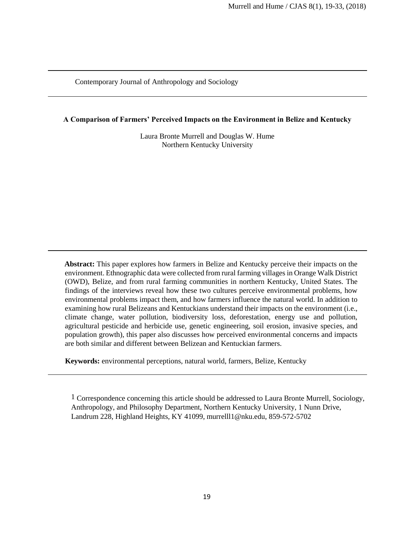Contemporary Journal of Anthropology and Sociology

**A Comparison of Farmers' Perceived Impacts on the Environment in Belize and Kentucky**

Laura Bronte Murrell and Douglas W. Hume Northern Kentucky University

**Abstract:** This paper explores how farmers in Belize and Kentucky perceive their impacts on the environment. Ethnographic data were collected from rural farming villages in Orange Walk District (OWD), Belize, and from rural farming communities in northern Kentucky, United States. The findings of the interviews reveal how these two cultures perceive environmental problems, how environmental problems impact them, and how farmers influence the natural world. In addition to examining how rural Belizeans and Kentuckians understand their impacts on the environment (i.e., climate change, water pollution, biodiversity loss, deforestation, energy use and pollution, agricultural pesticide and herbicide use, genetic engineering, soil erosion, invasive species, and population growth), this paper also discusses how perceived environmental concerns and impacts are both similar and different between Belizean and Kentuckian farmers.

**Keywords:** environmental perceptions, natural world, farmers, Belize, Kentucky

1 Correspondence concerning this article should be addressed to Laura Bronte Murrell, Sociology, Anthropology, and Philosophy Department, Northern Kentucky University, 1 Nunn Drive, Landrum 228, Highland Heights, KY 41099, murrelll1@nku.edu, 859-572-5702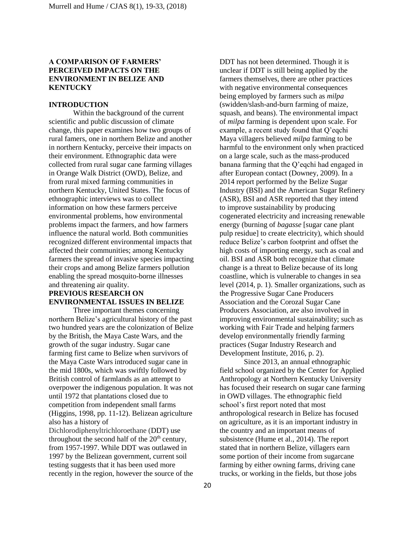## **A COMPARISON OF FARMERS' PERCEIVED IMPACTS ON THE ENVIRONMENT IN BELIZE AND KENTUCKY**

#### **INTRODUCTION**

Within the background of the current scientific and public discussion of climate change, this paper examines how two groups of rural famers, one in northern Belize and another in northern Kentucky, perceive their impacts on their environment. Ethnographic data were collected from rural sugar cane farming villages in Orange Walk District (OWD), Belize, and from rural mixed farming communities in northern Kentucky, United States. The focus of ethnographic interviews was to collect information on how these farmers perceive environmental problems, how environmental problems impact the farmers, and how farmers influence the natural world. Both communities recognized different environmental impacts that affected their communities; among Kentucky farmers the spread of invasive species impacting their crops and among Belize farmers pollution enabling the spread mosquito-borne illnesses and threatening air quality.

# **PREVIOUS RESEARCH ON ENVIRONMENTAL ISSUES IN BELIZE**

Three important themes concerning northern Belize's agricultural history of the past two hundred years are the colonization of Belize by the British, the Maya Caste Wars, and the growth of the sugar industry. Sugar cane farming first came to Belize when survivors of the Maya Caste Wars introduced sugar cane in the mid 1800s, which was swiftly followed by British control of farmlands as an attempt to overpower the indigenous population. It was not until 1972 that plantations closed due to competition from independent small farms (Higgins, 1998, pp. 11-12). Belizean agriculture also has a history of Dichlorodiphenyltrichloroethane (DDT) use throughout the second half of the  $20<sup>th</sup>$  century,

from 1957-1997. While DDT was outlawed in 1997 by the Belizean government, current soil testing suggests that it has been used more recently in the region, however the source of the

DDT has not been determined. Though it is unclear if DDT is still being applied by the farmers themselves, there are other practices with negative environmental consequences being employed by farmers such as *milpa* (swidden/slash-and-burn farming of maize, squash, and beans). The environmental impact of *milpa* farming is dependent upon scale. For example, a recent study found that Q'eqchi Maya villagers believed *milpa* farming to be harmful to the environment only when practiced on a large scale, such as the mass-produced banana farming that the Q'eqchi had engaged in after European contact (Downey, 2009). In a 2014 report performed by the Belize Sugar Industry (BSI) and the American Sugar Refinery (ASR), BSI and ASR reported that they intend to improve sustainability by producing cogenerated electricity and increasing renewable energy (burning of *bagasse* [sugar cane plant pulp residue] to create electricity), which should reduce Belize's carbon footprint and offset the high costs of importing energy, such as coal and oil. BSI and ASR both recognize that climate change is a threat to Belize because of its long coastline, which is vulnerable to changes in sea level (2014, p. 1). Smaller organizations, such as the Progressive Sugar Cane Producers Association and the Corozal Sugar Cane Producers Association, are also involved in improving environmental sustainability; such as working with Fair Trade and helping farmers develop environmentally friendly farming practices (Sugar Industry Research and Development Institute, 2016, p. 2).

Since 2013, an annual ethnographic field school organized by the Center for Applied Anthropology at Northern Kentucky University has focused their research on sugar cane farming in OWD villages. The ethnographic field school's first report noted that most anthropological research in Belize has focused on agriculture, as it is an important industry in the country and an important means of subsistence (Hume et al., 2014). The report stated that in northern Belize, villagers earn some portion of their income from sugarcane farming by either owning farms, driving cane trucks, or working in the fields, but those jobs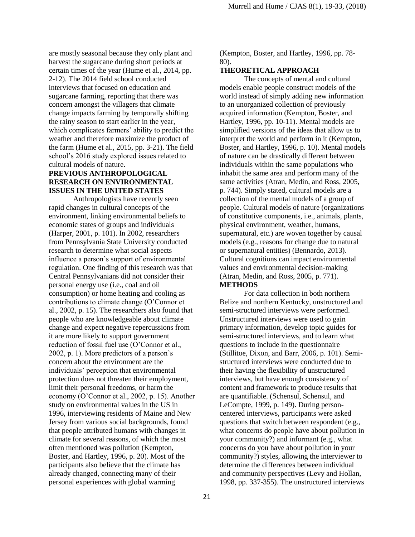are mostly seasonal because they only plant and harvest the sugarcane during short periods at certain times of the year (Hume et al., 2014, pp. 2-12). The 2014 field school conducted interviews that focused on education and sugarcane farming, reporting that there was concern amongst the villagers that climate change impacts farming by temporally shifting the rainy season to start earlier in the year, which complicates farmers' ability to predict the weather and therefore maximize the product of the farm (Hume et al., 2015, pp. 3-21). The field school's 2016 study explored issues related to cultural models of nature.

## **PREVIOUS ANTHROPOLOGICAL RESEARCH ON ENVIRONMENTAL ISSUES IN THE UNITED STATES**

Anthropologists have recently seen rapid changes in cultural concepts of the environment, linking environmental beliefs to economic states of groups and individuals (Harper, 2001, p. 101). In 2002, researchers from Pennsylvania State University conducted research to determine what social aspects influence a person's support of environmental regulation. One finding of this research was that Central Pennsylvanians did not consider their personal energy use (i.e., coal and oil consumption) or home heating and cooling as contributions to climate change (O'Connor et al., 2002, p. 15). The researchers also found that people who are knowledgeable about climate change and expect negative repercussions from it are more likely to support government reduction of fossil fuel use (O'Connor et al., 2002, p. 1). More predictors of a person's concern about the environment are the individuals' perception that environmental protection does not threaten their employment, limit their personal freedoms, or harm the economy (O'Connor et al., 2002, p. 15). Another study on environmental values in the US in 1996, interviewing residents of Maine and New Jersey from various social backgrounds, found that people attributed humans with changes in climate for several reasons, of which the most often mentioned was pollution (Kempton, Boster, and Hartley, 1996, p. 20). Most of the participants also believe that the climate has already changed, connecting many of their personal experiences with global warming

(Kempton, Boster, and Hartley, 1996, pp. 78- 80).

### **THEORETICAL APPROACH**

The concepts of mental and cultural models enable people construct models of the world instead of simply adding new information to an unorganized collection of previously acquired information (Kempton, Boster, and Hartley, 1996, pp. 10-11). Mental models are simplified versions of the ideas that allow us to interpret the world and perform in it (Kempton, Boster, and Hartley, 1996, p. 10). Mental models of nature can be drastically different between individuals within the same populations who inhabit the same area and perform many of the same activities (Atran, Medin, and Ross, 2005, p. 744). Simply stated, cultural models are a collection of the mental models of a group of people. Cultural models of nature (organizations of constitutive components, i.e., animals, plants, physical environment, weather, humans, supernatural, etc.) are woven together by causal models (e.g., reasons for change due to natural or supernatural entities) (Bennardo, 2013). Cultural cognitions can impact environmental values and environmental decision-making (Atran, Medin, and Ross, 2005, p. 771). **METHODS** 

For data collection in both northern Belize and northern Kentucky, unstructured and semi-structured interviews were performed. Unstructured interviews were used to gain primary information, develop topic guides for semi-structured interviews, and to learn what questions to include in the questionnaire (Stillitoe, Dixon, and Barr, 2006, p. 101). Semistructured interviews were conducted due to their having the flexibility of unstructured interviews, but have enough consistency of content and framework to produce results that are quantifiable. (Schensul, Schensul, and LeCompte, 1999, p. 149). During personcentered interviews, participants were asked questions that switch between respondent (e.g., what concerns do people have about pollution in your community?) and informant (e.g., what concerns do you have about pollution in your community?) styles, allowing the interviewer to determine the differences between individual and community perspectives (Levy and Hollan, 1998, pp. 337-355). The unstructured interviews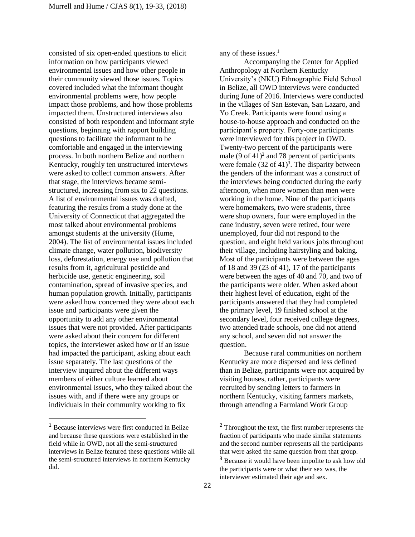consisted of six open-ended questions to elicit information on how participants viewed environmental issues and how other people in their community viewed those issues. Topics covered included what the informant thought environmental problems were, how people impact those problems, and how those problems impacted them. Unstructured interviews also consisted of both respondent and informant style questions, beginning with rapport building questions to facilitate the informant to be comfortable and engaged in the interviewing process. In both northern Belize and northern Kentucky, roughly ten unstructured interviews were asked to collect common answers. After that stage, the interviews became semistructured, increasing from six to 22 questions. A list of environmental issues was drafted, featuring the results from a study done at the University of Connecticut that aggregated the most talked about environmental problems amongst students at the university (Hume, 2004). The list of environmental issues included climate change, water pollution, biodiversity loss, deforestation, energy use and pollution that results from it, agricultural pesticide and herbicide use, genetic engineering, soil contamination, spread of invasive species, and human population growth. Initially, participants were asked how concerned they were about each issue and participants were given the opportunity to add any other environmental issues that were not provided. After participants were asked about their concern for different topics, the interviewer asked how or if an issue had impacted the participant, asking about each issue separately. The last questions of the interview inquired about the different ways members of either culture learned about environmental issues, who they talked about the issues with, and if there were any groups or individuals in their community working to fix

l

any of these issues. $<sup>1</sup>$ </sup>

Accompanying the Center for Applied Anthropology at Northern Kentucky University's (NKU) Ethnographic Field School in Belize, all OWD interviews were conducted during June of 2016. Interviews were conducted in the villages of San Estevan, San Lazaro, and Yo Creek. Participants were found using a house-to-house approach and conducted on the participant's property. Forty-one participants were interviewed for this project in OWD. Twenty-two percent of the participants were male  $(9 \text{ of } 41)^2$  and 78 percent of participants were female  $(32 \text{ of } 41)^3$ . The disparity between the genders of the informant was a construct of the interviews being conducted during the early afternoon, when more women than men were working in the home. Nine of the participants were homemakers, two were students, three were shop owners, four were employed in the cane industry, seven were retired, four were unemployed, four did not respond to the question, and eight held various jobs throughout their village, including hairstyling and baking. Most of the participants were between the ages of 18 and 39 (23 of 41), 17 of the participants were between the ages of 40 and 70, and two of the participants were older. When asked about their highest level of education, eight of the participants answered that they had completed the primary level, 19 finished school at the secondary level, four received college degrees, two attended trade schools, one did not attend any school, and seven did not answer the question.

Because rural communities on northern Kentucky are more dispersed and less defined than in Belize, participants were not acquired by visiting houses, rather, participants were recruited by sending letters to farmers in northern Kentucky, visiting farmers markets, through attending a Farmland Work Group

<sup>1</sup> Because interviews were first conducted in Belize and because these questions were established in the field while in OWD, not all the semi-structured interviews in Belize featured these questions while all the semi-structured interviews in northern Kentucky did.

<sup>&</sup>lt;sup>2</sup> Throughout the text, the first number represents the fraction of participants who made similar statements and the second number represents all the participants that were asked the same question from that group.

<sup>&</sup>lt;sup>3</sup> Because it would have been impolite to ask how old the participants were or what their sex was, the interviewer estimated their age and sex.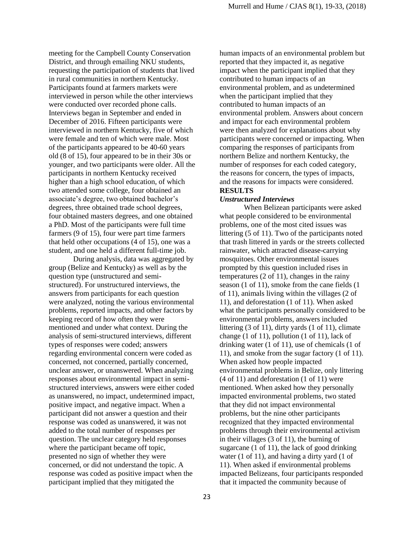meeting for the Campbell County Conservation District, and through emailing NKU students, requesting the participation of students that lived in rural communities in northern Kentucky. Participants found at farmers markets were interviewed in person while the other interviews were conducted over recorded phone calls. Interviews began in September and ended in December of 2016. Fifteen participants were interviewed in northern Kentucky, five of which were female and ten of which were male. Most of the participants appeared to be 40-60 years old (8 of 15), four appeared to be in their 30s or younger, and two participants were older. All the participants in northern Kentucky received higher than a high school education, of which two attended some college, four obtained an associate's degree, two obtained bachelor's degrees, three obtained trade school degrees, four obtained masters degrees, and one obtained a PhD. Most of the participants were full time farmers (9 of 15), four were part time farmers that held other occupations (4 of 15), one was a student, and one held a different full-time job.

During analysis, data was aggregated by group (Belize and Kentucky) as well as by the question type (unstructured and semistructured). For unstructured interviews, the answers from participants for each question were analyzed, noting the various environmental problems, reported impacts, and other factors by keeping record of how often they were mentioned and under what context. During the analysis of semi-structured interviews, different types of responses were coded; answers regarding environmental concern were coded as concerned, not concerned, partially concerned, unclear answer, or unanswered. When analyzing responses about environmental impact in semistructured interviews, answers were either coded as unanswered, no impact, undetermined impact, positive impact, and negative impact. When a participant did not answer a question and their response was coded as unanswered, it was not added to the total number of responses per question. The unclear category held responses where the participant became off topic, presented no sign of whether they were concerned, or did not understand the topic. A response was coded as positive impact when the participant implied that they mitigated the

human impacts of an environmental problem but reported that they impacted it, as negative impact when the participant implied that they contributed to human impacts of an environmental problem, and as undetermined when the participant implied that they contributed to human impacts of an environmental problem. Answers about concern and impact for each environmental problem were then analyzed for explanations about why participants were concerned or impacting. When comparing the responses of participants from northern Belize and northern Kentucky, the number of responses for each coded category, the reasons for concern, the types of impacts, and the reasons for impacts were considered. **RESULTS**

## *Unstructured Interviews*

When Belizean participants were asked what people considered to be environmental problems, one of the most cited issues was littering (5 of 11). Two of the participants noted that trash littered in yards or the streets collected rainwater, which attracted disease-carrying mosquitoes. Other environmental issues prompted by this question included rises in temperatures (2 of 11), changes in the rainy season (1 of 11), smoke from the cane fields (1 of 11), animals living within the villages (2 of 11), and deforestation (1 of 11). When asked what the participants personally considered to be environmental problems, answers included littering (3 of 11), dirty yards (1 of 11), climate change (1 of 11), pollution (1 of 11), lack of drinking water (1 of 11), use of chemicals (1 of 11), and smoke from the sugar factory (1 of 11). When asked how people impacted environmental problems in Belize, only littering (4 of 11) and deforestation (1 of 11) were mentioned. When asked how they personally impacted environmental problems, two stated that they did not impact environmental problems, but the nine other participants recognized that they impacted environmental problems through their environmental activism in their villages (3 of 11), the burning of sugarcane (1 of 11), the lack of good drinking water (1 of 11), and having a dirty yard (1 of 11). When asked if environmental problems impacted Belizeans, four participants responded that it impacted the community because of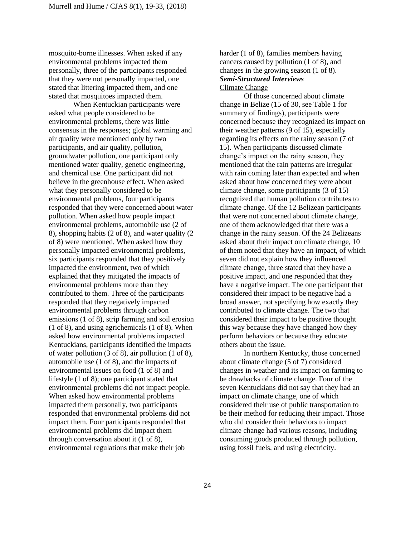mosquito-borne illnesses. When asked if any environmental problems impacted them personally, three of the participants responded that they were not personally impacted, one stated that littering impacted them, and one stated that mosquitoes impacted them.

When Kentuckian participants were asked what people considered to be environmental problems, there was little consensus in the responses; global warming and air quality were mentioned only by two participants, and air quality, pollution, groundwater pollution, one participant only mentioned water quality, genetic engineering, and chemical use. One participant did not believe in the greenhouse effect. When asked what they personally considered to be environmental problems, four participants responded that they were concerned about water pollution. When asked how people impact environmental problems, automobile use (2 of 8), shopping habits (2 of 8), and water quality (2 of 8) were mentioned. When asked how they personally impacted environmental problems, six participants responded that they positively impacted the environment, two of which explained that they mitigated the impacts of environmental problems more than they contributed to them. Three of the participants responded that they negatively impacted environmental problems through carbon emissions (1 of 8), strip farming and soil erosion (1 of 8), and using agrichemicals (1 of 8). When asked how environmental problems impacted Kentuckians, participants identified the impacts of water pollution (3 of 8), air pollution (1 of 8), automobile use (1 of 8), and the impacts of environmental issues on food (1 of 8) and lifestyle (1 of 8); one participant stated that environmental problems did not impact people. When asked how environmental problems impacted them personally, two participants responded that environmental problems did not impact them. Four participants responded that environmental problems did impact them through conversation about it (1 of 8), environmental regulations that make their job

harder (1 of 8), families members having cancers caused by pollution (1 of 8), and changes in the growing season (1 of 8). *Semi-Structured Interviews* Climate Change

Of those concerned about climate change in Belize (15 of 30, see Table 1 for summary of findings), participants were concerned because they recognized its impact on their weather patterns (9 of 15), especially regarding its effects on the rainy season (7 of 15). When participants discussed climate change's impact on the rainy season, they mentioned that the rain patterns are irregular with rain coming later than expected and when asked about how concerned they were about climate change, some participants (3 of 15) recognized that human pollution contributes to climate change. Of the 12 Belizean participants that were not concerned about climate change, one of them acknowledged that there was a change in the rainy season. Of the 24 Belizeans asked about their impact on climate change, 10 of them noted that they have an impact, of which seven did not explain how they influenced climate change, three stated that they have a positive impact, and one responded that they have a negative impact. The one participant that considered their impact to be negative had a broad answer, not specifying how exactly they contributed to climate change. The two that considered their impact to be positive thought this way because they have changed how they perform behaviors or because they educate others about the issue.

In northern Kentucky, those concerned about climate change (5 of 7) considered changes in weather and its impact on farming to be drawbacks of climate change. Four of the seven Kentuckians did not say that they had an impact on climate change, one of which considered their use of public transportation to be their method for reducing their impact. Those who did consider their behaviors to impact climate change had various reasons, including consuming goods produced through pollution, using fossil fuels, and using electricity.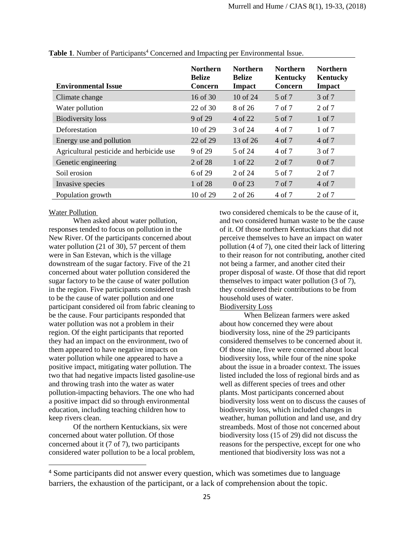| <b>Environmental Issue</b>               | <b>Northern</b><br><b>Belize</b><br><b>Concern</b> | <b>Northern</b><br><b>Belize</b><br><b>Impact</b> | <b>Northern</b><br>Kentucky<br>Concern | <b>Northern</b><br>Kentucky<br><b>Impact</b> |
|------------------------------------------|----------------------------------------------------|---------------------------------------------------|----------------------------------------|----------------------------------------------|
| Climate change                           | 16 of 30                                           | $10$ of 24                                        | 5 of 7                                 | 3 of 7                                       |
| Water pollution                          | $22$ of $30$                                       | 8 of 26                                           | 7 of 7                                 | 2 of 7                                       |
| <b>Biodiversity</b> loss                 | 9 of 29                                            | 4 of 22                                           | 5 of 7                                 | 1 of 7                                       |
| Deforestation                            | $10$ of $29$                                       | 3 of 24                                           | 4 of 7                                 | 1 of 7                                       |
| Energy use and pollution                 | 22 of 29                                           | 13 of 26                                          | 4 of 7                                 | 4 of 7                                       |
| Agricultural pesticide and herbicide use | 9 of 29                                            | 5 of 24                                           | 4 of 7                                 | 3 of 7                                       |
| Genetic engineering                      | 2 of 28                                            | 1 of 22                                           | 2 of 7                                 | $0$ of $7$                                   |
| Soil erosion                             | 6 of 29                                            | 2 of 24                                           | 5 of 7                                 | 2 of 7                                       |
| Invasive species                         | 1 of 28                                            | 0 of 23                                           | 7 of 7                                 | 4 of 7                                       |
| Population growth                        | $10$ of $29$                                       | 2 of 26                                           | 4 of 7                                 | 2 of 7                                       |

**Table 1.** Number of Participants<sup>4</sup> Concerned and Impacting per Environmental Issue.

### Water Pollution

l

When asked about water pollution, responses tended to focus on pollution in the New River. Of the participants concerned about water pollution (21 of 30), 57 percent of them were in San Estevan, which is the village downstream of the sugar factory. Five of the 21 concerned about water pollution considered the sugar factory to be the cause of water pollution in the region. Five participants considered trash to be the cause of water pollution and one participant considered oil from fabric cleaning to be the cause. Four participants responded that water pollution was not a problem in their region. Of the eight participants that reported they had an impact on the environment, two of them appeared to have negative impacts on water pollution while one appeared to have a positive impact, mitigating water pollution. The two that had negative impacts listed gasoline-use and throwing trash into the water as water pollution-impacting behaviors. The one who had a positive impact did so through environmental education, including teaching children how to keep rivers clean.

Of the northern Kentuckians, six were concerned about water pollution. Of those concerned about it (7 of 7), two participants considered water pollution to be a local problem, two considered chemicals to be the cause of it, and two considered human waste to be the cause of it. Of those northern Kentuckians that did not perceive themselves to have an impact on water pollution (4 of 7), one cited their lack of littering to their reason for not contributing, another cited not being a farmer, and another cited their proper disposal of waste. Of those that did report themselves to impact water pollution (3 of 7), they considered their contributions to be from household uses of water.

## Biodiversity Loss

When Belizean farmers were asked about how concerned they were about biodiversity loss, nine of the 29 participants considered themselves to be concerned about it. Of those nine, five were concerned about local biodiversity loss, while four of the nine spoke about the issue in a broader context. The issues listed included the loss of regional birds and as well as different species of trees and other plants. Most participants concerned about biodiversity loss went on to discuss the causes of biodiversity loss, which included changes in weather, human pollution and land use, and dry streambeds. Most of those not concerned about biodiversity loss (15 of 29) did not discuss the reasons for the perspective, except for one who mentioned that biodiversity loss was not a

<sup>4</sup> Some participants did not answer every question, which was sometimes due to language barriers, the exhaustion of the participant, or a lack of comprehension about the topic.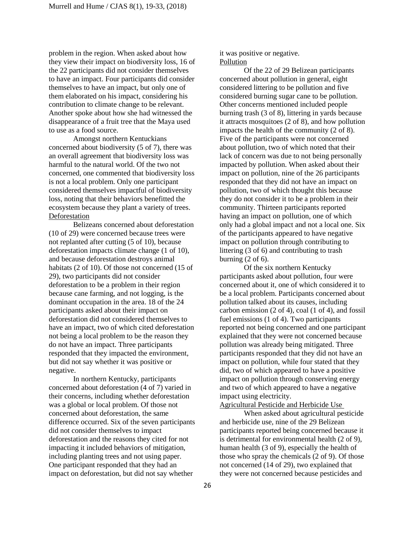problem in the region. When asked about how they view their impact on biodiversity loss, 16 of the 22 participants did not consider themselves to have an impact. Four participants did consider themselves to have an impact, but only one of them elaborated on his impact, considering his contribution to climate change to be relevant. Another spoke about how she had witnessed the disappearance of a fruit tree that the Maya used to use as a food source.

Amongst northern Kentuckians concerned about biodiversity (5 of 7), there was an overall agreement that biodiversity loss was harmful to the natural world. Of the two not concerned, one commented that biodiversity loss is not a local problem. Only one participant considered themselves impactful of biodiversity loss, noting that their behaviors benefitted the ecosystem because they plant a variety of trees. **Deforestation** 

Belizeans concerned about deforestation (10 of 29) were concerned because trees were not replanted after cutting (5 of 10), because deforestation impacts climate change (1 of 10), and because deforestation destroys animal habitats (2 of 10). Of those not concerned (15 of 29), two participants did not consider deforestation to be a problem in their region because cane farming, and not logging, is the dominant occupation in the area. 18 of the 24 participants asked about their impact on deforestation did not considered themselves to have an impact, two of which cited deforestation not being a local problem to be the reason they do not have an impact. Three participants responded that they impacted the environment, but did not say whether it was positive or negative.

In northern Kentucky, participants concerned about deforestation (4 of 7) varied in their concerns, including whether deforestation was a global or local problem. Of those not concerned about deforestation, the same difference occurred. Six of the seven participants did not consider themselves to impact deforestation and the reasons they cited for not impacting it included behaviors of mitigation, including planting trees and not using paper. One participant responded that they had an impact on deforestation, but did not say whether

it was positive or negative. Pollution

Of the 22 of 29 Belizean participants concerned about pollution in general, eight considered littering to be pollution and five considered burning sugar cane to be pollution. Other concerns mentioned included people burning trash (3 of 8), littering in yards because it attracts mosquitoes (2 of 8), and how pollution impacts the health of the community (2 of 8). Five of the participants were not concerned about pollution, two of which noted that their lack of concern was due to not being personally impacted by pollution. When asked about their impact on pollution, nine of the 26 participants responded that they did not have an impact on pollution, two of which thought this because they do not consider it to be a problem in their community. Thirteen participants reported having an impact on pollution, one of which only had a global impact and not a local one. Six of the participants appeared to have negative impact on pollution through contributing to littering (3 of 6) and contributing to trash burning  $(2 \text{ of } 6)$ .

Of the six northern Kentucky participants asked about pollution, four were concerned about it, one of which considered it to be a local problem. Participants concerned about pollution talked about its causes, including carbon emission (2 of 4), coal (1 of 4), and fossil fuel emissions (1 of 4). Two participants reported not being concerned and one participant explained that they were not concerned because pollution was already being mitigated. Three participants responded that they did not have an impact on pollution, while four stated that they did, two of which appeared to have a positive impact on pollution through conserving energy and two of which appeared to have a negative impact using electricity.

Agricultural Pesticide and Herbicide Use

When asked about agricultural pesticide and herbicide use, nine of the 29 Belizean participants reported being concerned because it is detrimental for environmental health (2 of 9), human health (3 of 9), especially the health of those who spray the chemicals (2 of 9). Of those not concerned (14 of 29), two explained that they were not concerned because pesticides and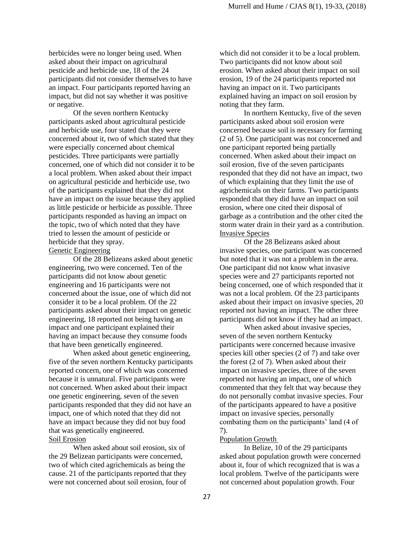herbicides were no longer being used. When asked about their impact on agricultural pesticide and herbicide use, 18 of the 24 participants did not consider themselves to have an impact. Four participants reported having an impact, but did not say whether it was positive or negative.

Of the seven northern Kentucky participants asked about agricultural pesticide and herbicide use, four stated that they were concerned about it, two of which stated that they were especially concerned about chemical pesticides. Three participants were partially concerned, one of which did not consider it to be a local problem. When asked about their impact on agricultural pesticide and herbicide use, two of the participants explained that they did not have an impact on the issue because they applied as little pesticide or herbicide as possible. Three participants responded as having an impact on the topic, two of which noted that they have tried to lessen the amount of pesticide or herbicide that they spray.

### Genetic Engineering

Of the 28 Belizeans asked about genetic engineering, two were concerned. Ten of the participants did not know about genetic engineering and 16 participants were not concerned about the issue, one of which did not consider it to be a local problem. Of the 22 participants asked about their impact on genetic engineering, 18 reported not being having an impact and one participant explained their having an impact because they consume foods that have been genetically engineered.

When asked about genetic engineering, five of the seven northern Kentucky participants reported concern, one of which was concerned because it is unnatural. Five participants were not concerned. When asked about their impact one genetic engineering, seven of the seven participants responded that they did not have an impact, one of which noted that they did not have an impact because they did not buy food that was genetically engineered.

## Soil Erosion

When asked about soil erosion, six of the 29 Belizean participants were concerned, two of which cited agrichemicals as being the cause. 21 of the participants reported that they were not concerned about soil erosion, four of which did not consider it to be a local problem. Two participants did not know about soil erosion. When asked about their impact on soil erosion, 19 of the 24 participants reported not having an impact on it. Two participants explained having an impact on soil erosion by noting that they farm.

In northern Kentucky, five of the seven participants asked about soil erosion were concerned because soil is necessary for farming (2 of 5). One participant was not concerned and one participant reported being partially concerned. When asked about their impact on soil erosion, five of the seven participants responded that they did not have an impact, two of which explaining that they limit the use of agrichemicals on their farms. Two participants responded that they did have an impact on soil erosion, where one cited their disposal of garbage as a contribution and the other cited the storm water drain in their yard as a contribution. Invasive Species

Of the 28 Belizeans asked about invasive species, one participant was concerned but noted that it was not a problem in the area. One participant did not know what invasive species were and 27 participants reported not being concerned, one of which responded that it was not a local problem. Of the 23 participants asked about their impact on invasive species, 20 reported not having an impact. The other three participants did not know if they had an impact.

When asked about invasive species, seven of the seven northern Kentucky participants were concerned because invasive species kill other species (2 of 7) and take over the forest (2 of 7). When asked about their impact on invasive species, three of the seven reported not having an impact, one of which commented that they felt that way because they do not personally combat invasive species. Four of the participants appeared to have a positive impact on invasive species, personally combating them on the participants' land (4 of 7).

## Population Growth

In Belize, 10 of the 29 participants asked about population growth were concerned about it, four of which recognized that is was a local problem. Twelve of the participants were not concerned about population growth. Four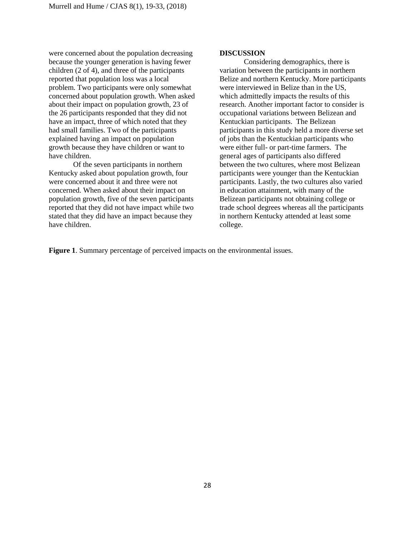were concerned about the population decreasing because the younger generation is having fewer children (2 of 4), and three of the participants reported that population loss was a local problem. Two participants were only somewhat concerned about population growth. When asked about their impact on population growth, 23 of the 26 participants responded that they did not have an impact, three of which noted that they had small families. Two of the participants explained having an impact on population growth because they have children or want to have children.

Of the seven participants in northern Kentucky asked about population growth, four were concerned about it and three were not concerned. When asked about their impact on population growth, five of the seven participants reported that they did not have impact while two stated that they did have an impact because they have children.

#### **DISCUSSION**

Considering demographics, there is variation between the participants in northern Belize and northern Kentucky. More participants were interviewed in Belize than in the US, which admittedly impacts the results of this research. Another important factor to consider is occupational variations between Belizean and Kentuckian participants. The Belizean participants in this study held a more diverse set of jobs than the Kentuckian participants who were either full- or part-time farmers. The general ages of participants also differed between the two cultures, where most Belizean participants were younger than the Kentuckian participants. Lastly, the two cultures also varied in education attainment, with many of the Belizean participants not obtaining college or trade school degrees whereas all the participants in northern Kentucky attended at least some college.

**Figure 1**. Summary percentage of perceived impacts on the environmental issues.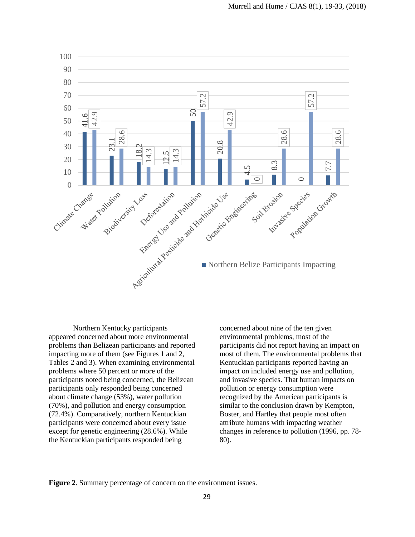

Northern Kentucky participants appeared concerned about more environmental problems than Belizean participants and reported impacting more of them (see Figures 1 and 2, Tables 2 and 3). When examining environmental problems where 50 percent or more of the participants noted being concerned, the Belizean participants only responded being concerned about climate change (53%), water pollution (70%), and pollution and energy consumption (72.4%). Comparatively, northern Kentuckian participants were concerned about every issue except for genetic engineering (28.6%). While the Kentuckian participants responded being

concerned about nine of the ten given environmental problems, most of the participants did not report having an impact on most of them. The environmental problems that Kentuckian participants reported having an impact on included energy use and pollution, and invasive species. That human impacts on pollution or energy consumption were recognized by the American participants is similar to the conclusion drawn by Kempton, Boster, and Hartley that people most often attribute humans with impacting weather changes in reference to pollution (1996, pp. 78- 80).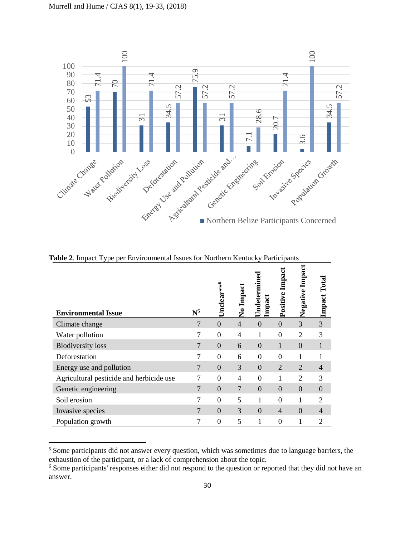

| <b>Environmental Issue</b>               | $\mathbf{N}^5$ | Unclear** <sup>6</sup> | No Impact      | Undetermined<br>Impact | Positive Impact  | Negative Impact | Total<br>Impact |
|------------------------------------------|----------------|------------------------|----------------|------------------------|------------------|-----------------|-----------------|
| Climate change                           | 7              | $\overline{0}$         | $\overline{4}$ | $\overline{0}$         | $\theta$         | 3               | 3               |
| Water pollution                          | 7              | $\overline{0}$         | $\overline{4}$ | 1                      | $\boldsymbol{0}$ | $\overline{2}$  | 3               |
| <b>Biodiversity</b> loss                 | $\overline{7}$ | $\overline{0}$         | 6              | $\overline{0}$         | 1                | $\overline{0}$  |                 |
| Deforestation                            | 7              | $\overline{0}$         | 6              | $\overline{0}$         | $\theta$         |                 |                 |
| Energy use and pollution                 | $\overline{7}$ | $\overline{0}$         | 3              | $\overline{0}$         | 2                | $\overline{2}$  | $\overline{4}$  |
| Agricultural pesticide and herbicide use | 7              | $\theta$               | 4              | $\theta$               | 1                | $\overline{2}$  | 3               |
| Genetic engineering                      | $\overline{7}$ | $\boldsymbol{0}$       | 7              | $\overline{0}$         | $\mathbf{0}$     | $\overline{0}$  | $\theta$        |
| Soil erosion                             | 7              | $\overline{0}$         | 5              | 1                      | $\overline{0}$   |                 | $\overline{2}$  |
| Invasive species                         | 7              | $\overline{0}$         | 3              | $\overline{0}$         | $\overline{4}$   | $\Omega$        | $\overline{4}$  |
| Population growth                        | 7              | $\overline{0}$         | 5              | 1                      | $\overline{0}$   | 1               | $\overline{2}$  |

**Table 2**. Impact Type per Environmental Issues for Northern Kentucky Participants

l

<sup>&</sup>lt;sup>5</sup> Some participants did not answer every question, which was sometimes due to language barriers, the exhaustion of the participant, or a lack of comprehension about the topic.

<sup>&</sup>lt;sup>6</sup> Some participants' responses either did not respond to the question or reported that they did not have an answer.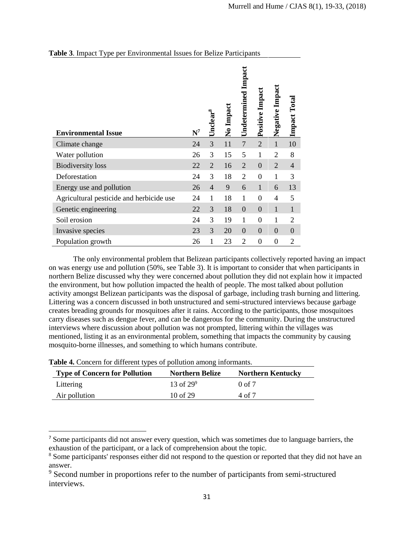| <b>Environmental Issue</b>               | $N^7$ | Unclear $^8$   | No Impact | <b>Undetermined Impact</b> | Positive Impact | Negative Impact | Impact Total   |
|------------------------------------------|-------|----------------|-----------|----------------------------|-----------------|-----------------|----------------|
| Climate change                           | 24    | 3              | 11        | $\overline{7}$             | $\overline{2}$  | $\mathbf{1}$    | 10             |
| Water pollution                          | 26    | 3              | 15        | 5                          | 1               | $\overline{2}$  | 8              |
| <b>Biodiversity</b> loss                 | 22    | $\overline{2}$ | 16        | $\overline{2}$             | $\overline{0}$  | $\overline{2}$  | $\overline{4}$ |
| Deforestation                            | 24    | 3              | 18        | $\overline{2}$             | $\overline{0}$  | 1               | 3              |
| Energy use and pollution                 | 26    | $\overline{4}$ | 9         | 6                          | $\mathbf{1}$    | 6               | 13             |
| Agricultural pesticide and herbicide use | 24    | $\mathbf{1}$   | 18        | $\mathbf{1}$               | $\overline{0}$  | $\overline{4}$  | 5              |
| Genetic engineering                      | 22    | 3              | 18        | $\overline{0}$             | $\overline{0}$  | $\mathbf{1}$    | $\mathbf{1}$   |
| Soil erosion                             | 24    | 3              | 19        | $\mathbf{1}$               | $\overline{0}$  | 1               | $\overline{2}$ |
| Invasive species                         | 23    | 3              | 20        | $\overline{0}$             | $\overline{0}$  | $\overline{0}$  | $\overline{0}$ |
| Population growth                        | 26    | 1              | 23        | $\overline{2}$             | $\overline{0}$  | $\overline{0}$  | $\overline{2}$ |

## **Table 3**. Impact Type per Environmental Issues for Belize Participants

The only environmental problem that Belizean participants collectively reported having an impact on was energy use and pollution (50%, see Table 3). It is important to consider that when participants in northern Belize discussed why they were concerned about pollution they did not explain how it impacted the environment, but how pollution impacted the health of people. The most talked about pollution activity amongst Belizean participants was the disposal of garbage, including trash burning and littering. Littering was a concern discussed in both unstructured and semi-structured interviews because garbage creates breading grounds for mosquitoes after it rains. According to the participants, those mosquitoes carry diseases such as dengue fever, and can be dangerous for the community. During the unstructured interviews where discussion about pollution was not prompted, littering within the villages was mentioned, listing it as an environmental problem, something that impacts the community by causing mosquito-borne illnesses, and something to which humans contribute.

| <b>Type of Concern for Pollution</b> | <b>Northern Belize</b> | <b>Northern Kentucky</b> |
|--------------------------------------|------------------------|--------------------------|
| Littering                            | 13 of $29^9$           | $0$ of $7$               |
| Air pollution                        | 10 of 29               | 4 of 7                   |

**Table 4.** Concern for different types of pollution among informants.

 $\overline{a}$ 

<sup>&</sup>lt;sup>7</sup> Some participants did not answer every question, which was sometimes due to language barriers, the exhaustion of the participant, or a lack of comprehension about the topic.

<sup>&</sup>lt;sup>8</sup> Some participants' responses either did not respond to the question or reported that they did not have an answer.

<sup>&</sup>lt;sup>9</sup> Second number in proportions refer to the number of participants from semi-structured interviews.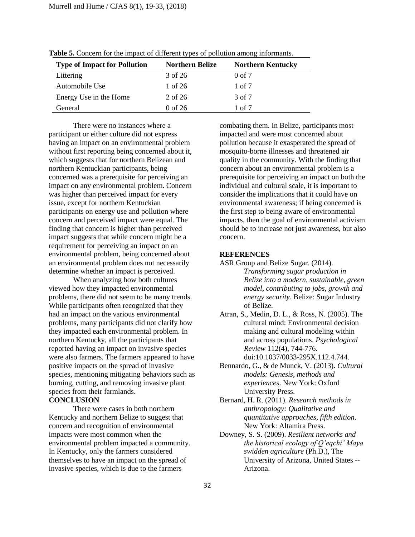| <b>Type of Impact for Pollution</b> | <b>Northern Belize</b> | <b>Northern Kentucky</b> |
|-------------------------------------|------------------------|--------------------------|
| Littering                           | 3 of 26                | $0$ of $7$               |
| Automobile Use                      | 1 of 26                | $1 \text{ of } 7$        |
| Energy Use in the Home              | 2 of 26                | 3 of 7                   |
| General                             | $0$ of 26              | 1 of 7                   |

**Table 5.** Concern for the impact of different types of pollution among informants.

There were no instances where a participant or either culture did not express having an impact on an environmental problem without first reporting being concerned about it, which suggests that for northern Belizean and northern Kentuckian participants, being concerned was a prerequisite for perceiving an impact on any environmental problem. Concern was higher than perceived impact for every issue, except for northern Kentuckian participants on energy use and pollution where concern and perceived impact were equal. The finding that concern is higher than perceived impact suggests that while concern might be a requirement for perceiving an impact on an environmental problem, being concerned about an environmental problem does not necessarily determine whether an impact is perceived.

When analyzing how both cultures viewed how they impacted environmental problems, there did not seem to be many trends. While participants often recognized that they had an impact on the various environmental problems, many participants did not clarify how they impacted each environmental problem. In northern Kentucky, all the participants that reported having an impact on invasive species were also farmers. The farmers appeared to have positive impacts on the spread of invasive species, mentioning mitigating behaviors such as burning, cutting, and removing invasive plant species from their farmlands. **CONCLUSION**

There were cases in both northern Kentucky and northern Belize to suggest that concern and recognition of environmental impacts were most common when the environmental problem impacted a community. In Kentucky, only the farmers considered themselves to have an impact on the spread of invasive species, which is due to the farmers

combating them. In Belize, participants most impacted and were most concerned about pollution because it exasperated the spread of mosquito-borne illnesses and threatened air quality in the community. With the finding that concern about an environmental problem is a prerequisite for perceiving an impact on both the individual and cultural scale, it is important to consider the implications that it could have on environmental awareness; if being concerned is the first step to being aware of environmental impacts, then the goal of environmental activism should be to increase not just awareness, but also concern.

#### **REFERENCES**

- ASR Group and Belize Sugar. (2014). *Transforming sugar production in Belize into a modern, sustainable, green model, contributing to jobs, growth and energy security*. Belize: Sugar Industry of Belize.
- Atran, S., Medin, D. L., & Ross, N. (2005). The cultural mind: Environmental decision making and cultural modeling within and across populations. *Psychological Review* 112(4), 744-776. doi:10.1037/0033-295X.112.4.744.
- Bennardo, G., & de Munck, V. (2013). *Cultural models: Genesis, methods and experiences*. New York: Oxford University Press.
- Bernard, H. R. (2011). *Research methods in anthropology: Qualitative and quantitative approaches, fifth edition*. New York: Altamira Press.
- Downey, S. S. (2009). *Resilient networks and the historical ecology of Q'eqchi' Maya swidden agriculture* (Ph.D.), The University of Arizona, United States -- Arizona.